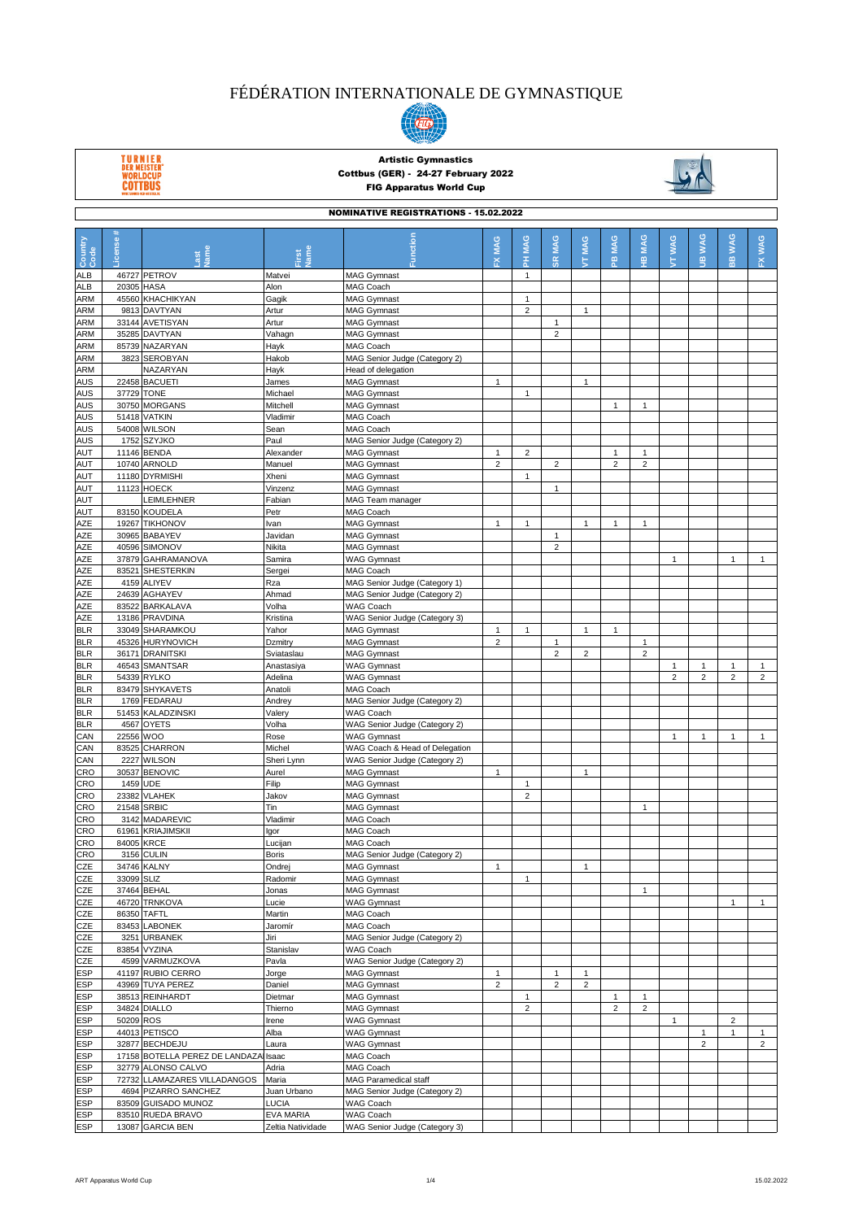

TURNIER<br>DER MEISTER'<br>WORLDCUP<br>COTTBUS



|                   | <b>NOMINATIVE REGISTRATIONS - 15.02.2022</b> |                                                      |                             |                                                                 |                |                |                |                |                         |                |                |                |                              |                |
|-------------------|----------------------------------------------|------------------------------------------------------|-----------------------------|-----------------------------------------------------------------|----------------|----------------|----------------|----------------|-------------------------|----------------|----------------|----------------|------------------------------|----------------|
| Country<br>Code   | $\ddot{}$<br>-icense                         | Last<br>Vame                                         | Jame<br>First               | Function                                                        | FX MAG         | PH MAG         | <b>SR MAG</b>  | MAG<br>ŧ       | PB MAG                  | <b>HB MAG</b>  | <b>TTWAG</b>   | <b>JB WAG</b>  | <b>WAG</b><br>$\overline{B}$ | FX WAG         |
| <b>ALB</b>        |                                              | 46727 PETROV                                         | Matvei                      | <b>MAG Gymnast</b>                                              |                | $\mathbf{1}$   |                |                |                         |                |                |                |                              |                |
| <b>ALB</b>        | 20305 HASA                                   |                                                      | Alon                        | MAG Coach                                                       |                |                |                |                |                         |                |                |                |                              |                |
| <b>ARM</b>        |                                              | 45560 KHACHIKYAN                                     | Gagik                       | <b>MAG Gymnast</b>                                              |                | $\mathbf{1}$   |                |                |                         |                |                |                |                              |                |
| <b>ARM</b>        |                                              | 9813 DAVTYAN                                         | Artur                       | <b>MAG Gymnast</b>                                              |                | $\overline{2}$ |                | $\mathbf{1}$   |                         |                |                |                |                              |                |
| <b>ARM</b>        |                                              | 33144 AVETISYAN                                      | Artur                       | <b>MAG Gymnast</b>                                              |                |                | $\mathbf{1}$   |                |                         |                |                |                |                              |                |
| <b>ARM</b>        |                                              | 35285 DAVTYAN                                        | Vahagn                      | <b>MAG Gymnast</b>                                              |                |                | $\overline{2}$ |                |                         |                |                |                |                              |                |
| <b>ARM</b>        |                                              | 85739 NAZARYAN                                       | Hayk                        | MAG Coach                                                       |                |                |                |                |                         |                |                |                |                              |                |
| <b>ARM</b>        |                                              | 3823 SEROBYAN                                        | Hakob                       | MAG Senior Judge (Category 2)                                   |                |                |                |                |                         |                |                |                |                              |                |
| <b>ARM</b>        |                                              | NAZARYAN                                             | Hayk                        | Head of delegation                                              |                |                |                |                |                         |                |                |                |                              |                |
| <b>AUS</b>        | 37729 TONE                                   | 22458 BACUETI                                        | James                       | <b>MAG Gymnast</b>                                              | $\mathbf{1}$   |                |                | $\mathbf{1}$   |                         |                |                |                |                              |                |
| <b>AUS</b><br>AUS |                                              | 30750 MORGANS                                        | Michael                     | <b>MAG Gymnast</b>                                              |                | $\mathbf{1}$   |                |                | 1                       | $\mathbf{1}$   |                |                |                              |                |
| <b>AUS</b>        |                                              | 51418 VATKIN                                         | Mitchell<br>Vladimir        | <b>MAG Gymnast</b><br>MAG Coach                                 |                |                |                |                |                         |                |                |                |                              |                |
| <b>AUS</b>        |                                              | 54008 WILSON                                         | Sean                        | MAG Coach                                                       |                |                |                |                |                         |                |                |                |                              |                |
| <b>AUS</b>        |                                              | 1752 SZYJKO                                          | Paul                        | MAG Senior Judge (Category 2)                                   |                |                |                |                |                         |                |                |                |                              |                |
| <b>AUT</b>        |                                              | 11146 BENDA                                          | Alexander                   | <b>MAG Gymnast</b>                                              | $\mathbf{1}$   | $\overline{2}$ |                |                | 1                       | $\mathbf{1}$   |                |                |                              |                |
| AUT               |                                              | 10740 ARNOLD                                         | Manuel                      | <b>MAG Gymnast</b>                                              | $\overline{2}$ |                | $\overline{2}$ |                | $\overline{\mathbf{c}}$ | $\overline{2}$ |                |                |                              |                |
| AUT               |                                              | 11180 DYRMISHI                                       | Xheni                       | <b>MAG Gymnast</b>                                              |                | $\mathbf{1}$   |                |                |                         |                |                |                |                              |                |
| <b>AUT</b>        |                                              | 11123 HOECK                                          | Vinzenz                     | <b>MAG Gymnast</b>                                              |                |                | $\mathbf{1}$   |                |                         |                |                |                |                              |                |
| AUT               |                                              | LEIMLEHNER                                           | Fabian                      | MAG Team manager                                                |                |                |                |                |                         |                |                |                |                              |                |
| AUT               |                                              | 83150 KOUDELA                                        | Petr                        | MAG Coach                                                       |                |                |                |                |                         |                |                |                |                              |                |
| AZE               |                                              | 19267 TIKHONOV                                       | Ivan                        | <b>MAG Gymnast</b>                                              | 1              | $\mathbf{1}$   |                | $\mathbf{1}$   | 1                       | 1              |                |                |                              |                |
| <b>AZE</b>        |                                              | 30965 BABAYEV                                        | Javidan                     | <b>MAG Gymnast</b>                                              |                |                | $\mathbf{1}$   |                |                         |                |                |                |                              |                |
| AZE               |                                              | 40596 SIMONOV                                        | Nikita                      | <b>MAG Gymnast</b>                                              |                |                | $\overline{2}$ |                |                         |                |                |                |                              |                |
| AZE               |                                              | 37879 GAHRAMANOVA                                    | Samira                      | <b>WAG Gymnast</b>                                              |                |                |                |                |                         |                | $\mathbf{1}$   |                | $\mathbf{1}$                 | $\mathbf{1}$   |
| AZE<br>AZE        |                                              | 83521 SHESTERKIN<br>4159 ALIYEV                      | Sergei<br>Rza               | MAG Coach<br>MAG Senior Judge (Category 1)                      |                |                |                |                |                         |                |                |                |                              |                |
| AZE               |                                              | 24639 AGHAYEV                                        | Ahmad                       | MAG Senior Judge (Category 2)                                   |                |                |                |                |                         |                |                |                |                              |                |
| AZE               |                                              | 83522 BARKALAVA                                      | Volha                       | <b>WAG Coach</b>                                                |                |                |                |                |                         |                |                |                |                              |                |
| AZE               |                                              | 13186 PRAVDINA                                       | Kristina                    | WAG Senior Judge (Category 3)                                   |                |                |                |                |                         |                |                |                |                              |                |
| <b>BLR</b>        |                                              | 33049 SHARAMKOU                                      | Yahor                       | <b>MAG Gymnast</b>                                              | $\mathbf{1}$   | $\mathbf{1}$   |                | $\mathbf{1}$   | $\mathbf{1}$            |                |                |                |                              |                |
| <b>BLR</b>        |                                              | 45326 HURYNOVICH                                     | Dzmitry                     | <b>MAG Gymnast</b>                                              | $\overline{c}$ |                | $\mathbf{1}$   |                |                         | 1              |                |                |                              |                |
| <b>BLR</b>        |                                              | 36171 DRANITSKI                                      | Sviataslau                  | <b>MAG Gymnast</b>                                              |                |                | $\overline{2}$ | $\overline{2}$ |                         | $\overline{2}$ |                |                |                              |                |
| <b>BLR</b>        |                                              | 46543 SMANTSAR                                       | Anastasiya                  | <b>WAG Gymnast</b>                                              |                |                |                |                |                         |                | $\mathbf{1}$   | $\mathbf{1}$   | $\mathbf{1}$                 | $\mathbf{1}$   |
| <b>BLR</b>        |                                              | 54339 RYLKO                                          | Adelina                     | <b>WAG Gymnast</b>                                              |                |                |                |                |                         |                | $\overline{2}$ | $\overline{2}$ | $\overline{c}$               | $\overline{2}$ |
| <b>BLR</b>        |                                              | 83479 SHYKAVETS                                      | Anatoli                     | MAG Coach                                                       |                |                |                |                |                         |                |                |                |                              |                |
| <b>BLR</b>        |                                              | 1769 FEDARAU                                         | Andrey                      | MAG Senior Judge (Category 2)                                   |                |                |                |                |                         |                |                |                |                              |                |
| <b>BLR</b>        |                                              | 51453 KALADZINSKI                                    | Valery                      | <b>WAG Coach</b>                                                |                |                |                |                |                         |                |                |                |                              |                |
| <b>BLR</b>        |                                              | 4567 OYETS                                           | Volha                       | WAG Senior Judge (Category 2)                                   |                |                |                |                |                         |                |                |                |                              |                |
| CAN               | 22556 WOO                                    |                                                      | Rose<br>Michel              | <b>WAG Gymnast</b>                                              |                |                |                |                |                         |                | $\mathbf{1}$   | 1              | $\mathbf{1}$                 | $\mathbf{1}$   |
| CAN<br>CAN        |                                              | 83525 CHARRON<br>2227 WILSON                         | Sheri Lynn                  | WAG Coach & Head of Delegation<br>WAG Senior Judge (Category 2) |                |                |                |                |                         |                |                |                |                              |                |
| CRO               |                                              | 30537 BENOVIC                                        | Aurel                       | <b>MAG Gymnast</b>                                              | 1              |                |                | $\mathbf{1}$   |                         |                |                |                |                              |                |
| CRO               | 1459 UDE                                     |                                                      | Filip                       | <b>MAG Gymnast</b>                                              |                | $\mathbf{1}$   |                |                |                         |                |                |                |                              |                |
| CRO               |                                              | 23382 VLAHEK                                         | Jakov                       | <b>MAG Gymnast</b>                                              |                | $\overline{2}$ |                |                |                         |                |                |                |                              |                |
| <b>CRO</b>        | 21548 SRBIC                                  |                                                      | Tin                         | <b>MAG Gymnast</b>                                              |                |                |                |                |                         | $\mathbf{1}$   |                |                |                              |                |
| <b>CRO</b>        |                                              | 3142 MADAREVIC                                       | Vladimir                    | MAG Coach                                                       |                |                |                |                |                         |                |                |                |                              |                |
| CRO               |                                              | 61961 KRIAJIMSKII                                    | lgor                        | MAG Coach                                                       |                |                |                |                |                         |                |                |                |                              |                |
| CRO               | 84005 KRCE                                   |                                                      | Lucijan                     | MAG Coach                                                       |                |                |                |                |                         |                |                |                |                              |                |
| CRO               |                                              | 3156 CULIN                                           | <b>Boris</b>                | MAG Senior Judge (Category 2)                                   |                |                |                |                |                         |                |                |                |                              |                |
| CZE               |                                              | 34746 KALNY                                          | Ondrej                      | <b>MAG Gymnast</b>                                              | 1              |                |                | $\mathbf{1}$   |                         |                |                |                |                              |                |
| CZE               | 33099 SLIZ                                   |                                                      | Radomir                     | <b>MAG Gymnast</b>                                              |                | $\mathbf{1}$   |                |                |                         |                |                |                |                              |                |
| CZE               |                                              | 37464 BEHAL                                          | Jonas                       | <b>MAG Gymnast</b><br><b>WAG Gymnast</b>                        |                |                |                |                |                         | $\mathbf{1}$   |                |                | $\mathbf{1}$                 |                |
| CZE<br>CZE        | 86350 TAFTL                                  | 46720 TRNKOVA                                        | Lucie<br>Martin             | MAG Coach                                                       |                |                |                |                |                         |                |                |                |                              | $\mathbf{1}$   |
| CZE               |                                              | 83453 LABONEK                                        | Jaromír                     | MAG Coach                                                       |                |                |                |                |                         |                |                |                |                              |                |
| CZE               |                                              | 3251 URBANEK                                         | Jiri                        | MAG Senior Judge (Category 2)                                   |                |                |                |                |                         |                |                |                |                              |                |
| CZE               |                                              | 83854 VYZINA                                         | Stanislav                   | WAG Coach                                                       |                |                |                |                |                         |                |                |                |                              |                |
| CZE               |                                              | 4599 VARMUZKOVA                                      | Pavla                       | WAG Senior Judge (Category 2)                                   |                |                |                |                |                         |                |                |                |                              |                |
| <b>ESP</b>        |                                              | 41197 RUBIO CERRO                                    | Jorge                       | <b>MAG Gymnast</b>                                              | $\mathbf{1}$   |                | $\mathbf{1}$   | $\mathbf{1}$   |                         |                |                |                |                              |                |
| <b>ESP</b>        |                                              | 43969 TUYA PEREZ                                     | Daniel                      | <b>MAG Gymnast</b>                                              | $\overline{2}$ |                | $\overline{c}$ | $\overline{2}$ |                         |                |                |                |                              |                |
| <b>ESP</b>        |                                              | 38513 REINHARDT                                      | Dietmar                     | <b>MAG Gymnast</b>                                              |                | $\mathbf{1}$   |                |                | 1                       | $\mathbf{1}$   |                |                |                              |                |
| <b>ESP</b>        |                                              | 34824 DIALLO                                         | Thierno                     | <b>MAG Gymnast</b>                                              |                | $\overline{2}$ |                |                | $\overline{\mathbf{c}}$ | $\overline{2}$ |                |                |                              |                |
| <b>ESP</b>        | 50209 ROS                                    |                                                      | Irene                       | <b>WAG Gymnast</b>                                              |                |                |                |                |                         |                | $\mathbf{1}$   |                | $\overline{c}$               |                |
| <b>ESP</b>        |                                              | 44013 PETISCO                                        | Alba                        | <b>WAG Gymnast</b>                                              |                |                |                |                |                         |                |                | 1              | $\mathbf{1}$                 | $\mathbf{1}$   |
| <b>ESP</b>        |                                              | 32877 BECHDEJU                                       | Laura                       | <b>WAG Gymnast</b>                                              |                |                |                |                |                         |                |                | $\overline{2}$ |                              | $\overline{2}$ |
| <b>ESP</b>        |                                              | 17158 BOTELLA PEREZ DE LANDAZA                       | Isaac                       | MAG Coach                                                       |                |                |                |                |                         |                |                |                |                              |                |
| <b>ESP</b>        |                                              | 32779 ALONSO CALVO                                   | Adria                       | MAG Coach                                                       |                |                |                |                |                         |                |                |                |                              |                |
| <b>ESP</b><br>ESP |                                              | 72732 LLAMAZARES VILLADANGOS<br>4694 PIZARRO SANCHEZ | Maria                       | MAG Paramedical staff                                           |                |                |                |                |                         |                |                |                |                              |                |
| <b>ESP</b>        |                                              | 83509 GUISADO MUNOZ                                  | Juan Urbano<br><b>LUCIA</b> | MAG Senior Judge (Category 2)<br>WAG Coach                      |                |                |                |                |                         |                |                |                |                              |                |
| <b>ESP</b>        |                                              | 83510 RUEDA BRAVO                                    | <b>EVA MARIA</b>            | WAG Coach                                                       |                |                |                |                |                         |                |                |                |                              |                |
| <b>ESP</b>        |                                              | 13087 GARCIA BEN                                     | Zeltia Natividade           | WAG Senior Judge (Category 3)                                   |                |                |                |                |                         |                |                |                |                              |                |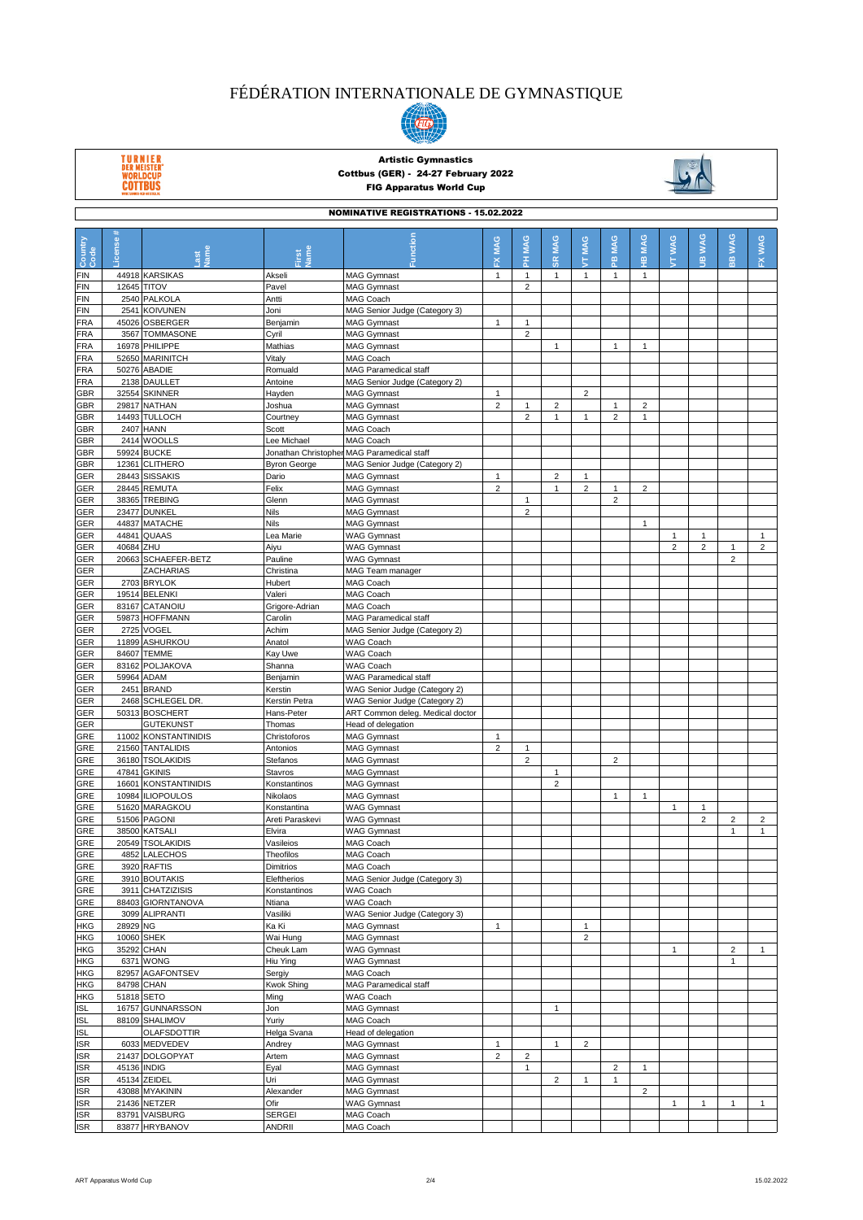

TURNIER<br>DER MEISTER'<br>WORLDCUP<br>COTTBUS



|                   | <b>NOMINATIVE REGISTRATIONS - 15.02.2022</b> |                                  |                            |                                            |                |                                |                         |                 |                |                |                |                            |                         |                |
|-------------------|----------------------------------------------|----------------------------------|----------------------------|--------------------------------------------|----------------|--------------------------------|-------------------------|-----------------|----------------|----------------|----------------|----------------------------|-------------------------|----------------|
| Country<br>Code   | -icense#                                     |                                  | Jame                       | Function                                   | <b>FX MAG</b>  | PH MAG                         | <b>SR MAG</b>           | <b>MAG</b><br>ς | PB MAG         | <b>HB MAG</b>  | <b>TT WAG</b>  | <b>WAG</b><br>$\mathbf{a}$ | <b>WAG</b><br>es        | FX WAG         |
| <b>FIN</b>        |                                              | 44918 KARSIKAS                   | Akseli                     | <b>MAG Gymnast</b>                         | $\mathbf{1}$   | $\mathbf{1}$                   | $\mathbf{1}$            | $\mathbf{1}$    | 1              | $\mathbf{1}$   |                |                            |                         |                |
| FIN               |                                              | 12645 TITOV                      | Pavel                      | <b>MAG Gymnast</b>                         |                | $\overline{2}$                 |                         |                 |                |                |                |                            |                         |                |
| FIN               |                                              | 2540 PALKOLA                     | Antti                      | <b>MAG Coach</b>                           |                |                                |                         |                 |                |                |                |                            |                         |                |
| FIN               |                                              | 2541 KOIVUNEN                    | Joni                       | MAG Senior Judge (Category 3)              |                |                                |                         |                 |                |                |                |                            |                         |                |
| FRA<br>FRA        |                                              | 45026 OSBERGER<br>3567 TOMMASONE | Benjamin<br>Cyril          | <b>MAG Gymnast</b><br><b>MAG Gymnast</b>   | $\mathbf{1}$   | $\mathbf{1}$<br>2              |                         |                 |                |                |                |                            |                         |                |
| FRA               |                                              | 16978 PHILIPPE                   | Mathias                    | <b>MAG Gymnast</b>                         |                |                                | $\mathbf{1}$            |                 | 1              | 1              |                |                            |                         |                |
| FRA               |                                              | 52650 MARINITCH                  | Vitaly                     | MAG Coach                                  |                |                                |                         |                 |                |                |                |                            |                         |                |
| FRA               |                                              | 50276 ABADIE                     | Romuald                    | MAG Paramedical staff                      |                |                                |                         |                 |                |                |                |                            |                         |                |
| FRA               |                                              | 2138 DAULLET                     | Antoine                    | MAG Senior Judge (Category 2)              |                |                                |                         |                 |                |                |                |                            |                         |                |
| GBR               |                                              | 32554 SKINNER                    | Hayden                     | <b>MAG Gymnast</b>                         | $\mathbf{1}$   |                                |                         | $\overline{2}$  |                |                |                |                            |                         |                |
| GBR               |                                              | 29817 NATHAN                     | Joshua                     | <b>MAG Gymnast</b>                         | $\overline{2}$ | $\mathbf{1}$                   | $\overline{2}$          |                 | 1              | $\overline{2}$ |                |                            |                         |                |
| GBR<br>GBR        |                                              | 14493 TULLOCH<br>2407 HANN       | Courtney<br>Scott          | <b>MAG Gymnast</b><br>MAG Coach            |                | $\overline{2}$                 | $\mathbf{1}$            | $\mathbf{1}$    | $\overline{2}$ | $\mathbf{1}$   |                |                            |                         |                |
| GBR               |                                              | 2414 WOOLLS                      | Lee Michael                | MAG Coach                                  |                |                                |                         |                 |                |                |                |                            |                         |                |
| GBR               |                                              | 59924 BUCKE                      |                            | Jonathan Christopher MAG Paramedical staff |                |                                |                         |                 |                |                |                |                            |                         |                |
| GBR               |                                              | 12361 CLITHERO                   | <b>Byron George</b>        | MAG Senior Judge (Category 2)              |                |                                |                         |                 |                |                |                |                            |                         |                |
| GER               |                                              | 28443 SISSAKIS                   | Dario                      | <b>MAG Gymnast</b>                         | $\mathbf{1}$   |                                | $\overline{c}$          | $\mathbf{1}$    |                |                |                |                            |                         |                |
| GER               |                                              | 28445 REMUTA                     | Felix                      | <b>MAG Gymnast</b>                         | $\overline{2}$ |                                | $\mathbf{1}$            | $\overline{c}$  | 1              | $\overline{2}$ |                |                            |                         |                |
| GER               |                                              | 38365 TREBING                    | Glenn                      | <b>MAG Gymnast</b>                         |                | $\mathbf{1}$                   |                         |                 | $\overline{a}$ |                |                |                            |                         |                |
| GER               |                                              | 23477 DUNKEL                     | <b>Nils</b>                | <b>MAG Gymnast</b>                         |                | $\overline{2}$                 |                         |                 |                |                |                |                            |                         |                |
| GER<br>GER        | 44841                                        | 44837 MATACHE<br><b>QUAAS</b>    | Nils<br>Lea Marie          | <b>MAG Gymnast</b><br><b>WAG Gymnast</b>   |                |                                |                         |                 |                | $\mathbf{1}$   | $\mathbf{1}$   | $\mathbf{1}$               |                         | $\mathbf{1}$   |
| GER               | 40684 ZHU                                    |                                  | Aiyu                       | <b>WAG Gymnast</b>                         |                |                                |                         |                 |                |                | $\overline{2}$ | $\overline{2}$             | $\mathbf{1}$            | $\overline{2}$ |
| GER               |                                              | 20663 SCHAEFER-BETZ              | Pauline                    | <b>WAG Gymnast</b>                         |                |                                |                         |                 |                |                |                |                            | $\overline{2}$          |                |
| GER               |                                              | <b>ZACHARIAS</b>                 | Christina                  | MAG Team manager                           |                |                                |                         |                 |                |                |                |                            |                         |                |
| GER               |                                              | 2703 BRYLOK                      | Hubert                     | MAG Coach                                  |                |                                |                         |                 |                |                |                |                            |                         |                |
| GER               |                                              | 19514 BELENKI                    | Valeri                     | MAG Coach                                  |                |                                |                         |                 |                |                |                |                            |                         |                |
| GER               |                                              | 83167 CATANOIU                   | Grigore-Adrian             | MAG Coach                                  |                |                                |                         |                 |                |                |                |                            |                         |                |
| GER               |                                              | 59873 HOFFMANN                   | Carolin                    | MAG Paramedical staff                      |                |                                |                         |                 |                |                |                |                            |                         |                |
| GER               |                                              | 2725 VOGEL                       | Achim                      | MAG Senior Judge (Category 2)              |                |                                |                         |                 |                |                |                |                            |                         |                |
| GER<br>GER        |                                              | 11899 ASHURKOU<br>84607 TEMME    | Anatol<br>Kay Uwe          | <b>WAG Coach</b><br>WAG Coach              |                |                                |                         |                 |                |                |                |                            |                         |                |
| GER               |                                              | 83162 POLJAKOVA                  | Shanna                     | <b>WAG Coach</b>                           |                |                                |                         |                 |                |                |                |                            |                         |                |
| GER               |                                              | 59964 ADAM                       | Benjamin                   | WAG Paramedical staff                      |                |                                |                         |                 |                |                |                |                            |                         |                |
| GER               |                                              | 2451 BRAND                       | Kerstin                    | WAG Senior Judge (Category 2)              |                |                                |                         |                 |                |                |                |                            |                         |                |
| GER               |                                              | 2468 SCHLEGEL DR                 | Kerstin Petra              | WAG Senior Judge (Category 2)              |                |                                |                         |                 |                |                |                |                            |                         |                |
| GER               |                                              | 50313 BOSCHERT                   | Hans-Peter                 | ART Common deleg. Medical doctor           |                |                                |                         |                 |                |                |                |                            |                         |                |
| GER               |                                              | <b>GUTEKUNST</b>                 | Thomas                     | Head of delegation                         |                |                                |                         |                 |                |                |                |                            |                         |                |
| GRE               |                                              | 11002 KONSTANTINIDIS             | Christoforos               | <b>MAG Gymnast</b>                         | $\mathbf{1}$   |                                |                         |                 |                |                |                |                            |                         |                |
| GRE               |                                              | 21560 TANTALIDIS                 | Antonios                   | <b>MAG Gymnast</b>                         | $\overline{2}$ | $\mathbf{1}$<br>$\overline{2}$ |                         |                 | $\overline{2}$ |                |                |                            |                         |                |
| GRE<br>GRE        |                                              | 36180 TSOLAKIDIS<br>47841 GKINIS | Stefanos<br><b>Stavros</b> | <b>MAG Gymnast</b><br><b>MAG Gymnast</b>   |                |                                | $\mathbf{1}$            |                 |                |                |                |                            |                         |                |
| GRE               |                                              | 16601 KONSTANTINIDIS             | Konstantinos               | <b>MAG Gymnast</b>                         |                |                                | $\overline{\mathbf{c}}$ |                 |                |                |                |                            |                         |                |
| GRE               |                                              | 10984 ILIOPOULOS                 | Nikolaos                   | <b>MAG Gymnast</b>                         |                |                                |                         |                 | $\mathbf{1}$   | $\mathbf{1}$   |                |                            |                         |                |
| GRE               |                                              | 51620 MARAGKOU                   | Konstantina                | <b>WAG Gymnast</b>                         |                |                                |                         |                 |                |                | $\mathbf{1}$   | $\mathbf{1}$               |                         |                |
| GRE               |                                              | 51506 PAGONI                     | Areti Paraskevi            | <b>WAG Gymnast</b>                         |                |                                |                         |                 |                |                |                | $\overline{\mathbf{c}}$    | $\overline{\mathbf{c}}$ | $\sqrt{2}$     |
| GRE               |                                              | 38500 KATSALI                    | Elvira                     | <b>WAG Gymnast</b>                         |                |                                |                         |                 |                |                |                |                            | $\mathbf{1}$            | $\mathbf{1}$   |
| GRE               |                                              | 20549 TSOLAKIDIS                 | Vasileios                  | MAG Coach                                  |                |                                |                         |                 |                |                |                |                            |                         |                |
| GRE               |                                              | 4852 LALECHOS                    | Theofilos                  | MAG Coach                                  |                |                                |                         |                 |                |                |                |                            |                         |                |
| GRE<br>GRE        |                                              | 3920 RAFTIS<br>3910 BOUTAKIS     | Dimitrios<br>Eleftherios   | MAG Coach<br>MAG Senior Judge (Category 3) |                |                                |                         |                 |                |                |                |                            |                         |                |
| GRE               |                                              | 3911 CHATZIZISIS                 | Konstantinos               | WAG Coach                                  |                |                                |                         |                 |                |                |                |                            |                         |                |
| GRE               |                                              | 88403 GIORNTANOVA                | Ntiana                     | WAG Coach                                  |                |                                |                         |                 |                |                |                |                            |                         |                |
| GRE               |                                              | 3099 ALIPRANTI                   | Vasiliki                   | WAG Senior Judge (Category 3)              |                |                                |                         |                 |                |                |                |                            |                         |                |
| HKG               | 28929 NG                                     |                                  | Ka Ki                      | <b>MAG Gymnast</b>                         | $\mathbf{1}$   |                                |                         | $\mathbf{1}$    |                |                |                |                            |                         |                |
| HKG               |                                              | 10060 SHEK                       | Wai Hung                   | <b>MAG Gymnast</b>                         |                |                                |                         | $\sqrt{2}$      |                |                |                |                            |                         |                |
| HKG               |                                              | 35292 CHAN                       | Cheuk Lam                  | <b>WAG Gymnast</b>                         |                |                                |                         |                 |                |                | $\mathbf{1}$   |                            | $\overline{2}$          | $\mathbf{1}$   |
| HKG               |                                              | 6371 WONG                        | Hiu Yina                   | <b>WAG Gymnast</b>                         |                |                                |                         |                 |                |                |                |                            | $\mathbf{1}$            |                |
| HKG               |                                              | 82957 AGAFONTSEV                 | Sergiy                     | MAG Coach                                  |                |                                |                         |                 |                |                |                |                            |                         |                |
| HKG<br>HKG        |                                              | 84798 CHAN<br>51818 SETO         | <b>Kwok Shing</b>          | MAG Paramedical staff<br>WAG Coach         |                |                                |                         |                 |                |                |                |                            |                         |                |
| ISL               |                                              | 16757 GUNNARSSON                 | Ming<br>Jon                | <b>MAG Gymnast</b>                         |                |                                | $\mathbf{1}$            |                 |                |                |                |                            |                         |                |
| <b>ISL</b>        |                                              | 88109 SHALIMOV                   | Yuriy                      | MAG Coach                                  |                |                                |                         |                 |                |                |                |                            |                         |                |
| <b>ISL</b>        |                                              | <b>OLAFSDOTTIR</b>               | Helga Svana                | Head of delegation                         |                |                                |                         |                 |                |                |                |                            |                         |                |
| <b>ISR</b>        |                                              | 6033 MEDVEDEV                    | Andrey                     | <b>MAG Gymnast</b>                         | $\mathbf{1}$   |                                | $\mathbf{1}$            | $\overline{2}$  |                |                |                |                            |                         |                |
| <b>ISR</b>        |                                              | 21437 DOLGOPYAT                  | Artem                      | <b>MAG Gymnast</b>                         | $\overline{2}$ | $\overline{2}$                 |                         |                 |                |                |                |                            |                         |                |
| ISR               |                                              | 45136 INDIG                      | Eyal                       | <b>MAG Gymnast</b>                         |                | $\mathbf{1}$                   |                         |                 | $\overline{c}$ | 1              |                |                            |                         |                |
| ISR               |                                              | 45134 ZEIDEL                     | Uri                        | <b>MAG Gymnast</b>                         |                |                                | $\overline{2}$          | $\mathbf{1}$    | $\mathbf{1}$   |                |                |                            |                         |                |
| <b>ISR</b>        |                                              | 43088 MYAKININ                   | Alexander                  | <b>MAG Gymnast</b>                         |                |                                |                         |                 |                | $\overline{2}$ |                |                            |                         |                |
| ISR               |                                              | 21436 NETZER                     | Ofir                       | <b>WAG Gymnast</b>                         |                |                                |                         |                 |                |                | $\mathbf{1}$   | $\mathbf{1}$               | $\mathbf{1}$            | $\mathbf{1}$   |
| ISR<br><b>ISR</b> |                                              | 83791 VAISBURG<br>83877 HRYBANOV | SERGEI<br>ANDRII           | MAG Coach<br>MAG Coach                     |                |                                |                         |                 |                |                |                |                            |                         |                |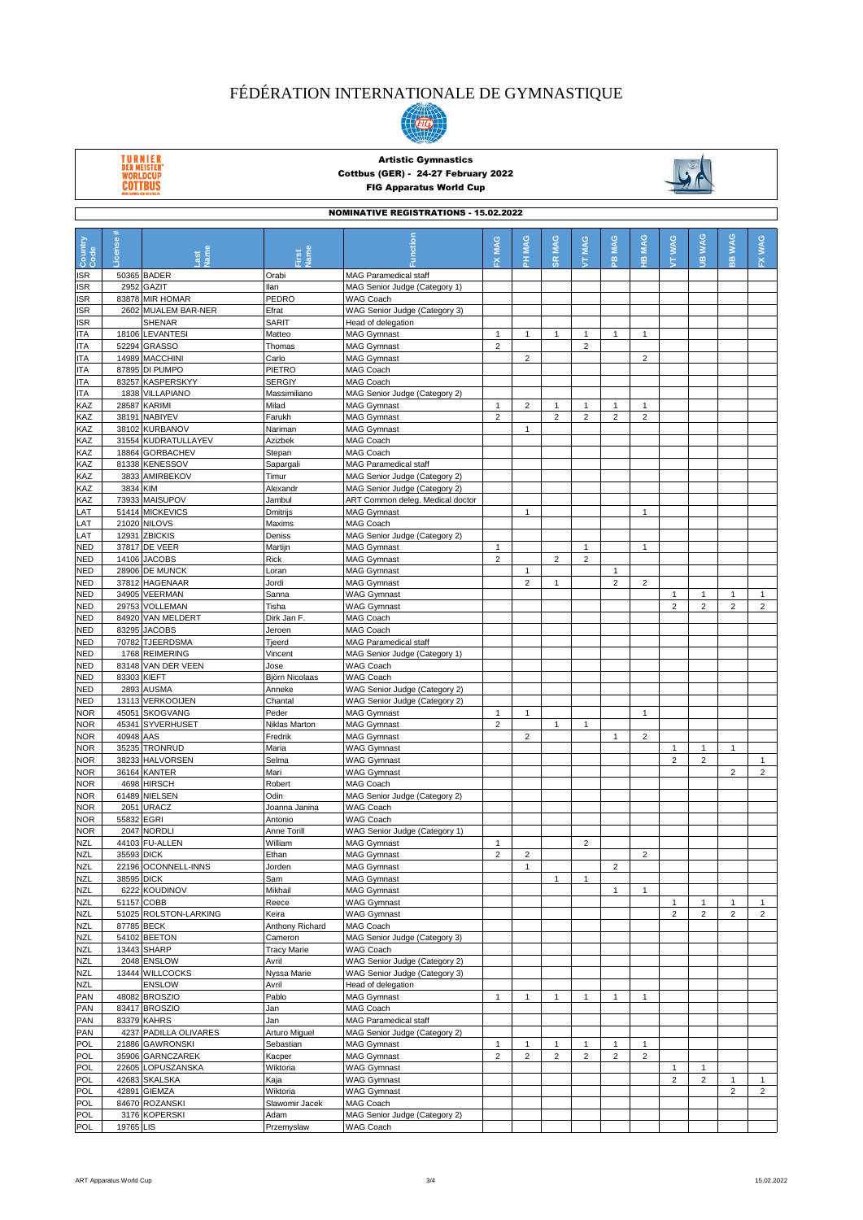

TURNIER<br>DER MEISTER'<br>WORLDCUP<br>COTTBUS



| <b>NOMINATIVE REGISTRATIONS - 15.02.2022</b> |                      |                                       |                        |                                            |                                |                |                |                                |                |                |                |                |                |                                |
|----------------------------------------------|----------------------|---------------------------------------|------------------------|--------------------------------------------|--------------------------------|----------------|----------------|--------------------------------|----------------|----------------|----------------|----------------|----------------|--------------------------------|
|                                              |                      |                                       |                        |                                            |                                |                |                |                                |                |                |                |                |                |                                |
| Country<br>Code                              | License              |                                       |                        | netior                                     | MAG                            | <b>MAG</b>     | MAG            | MAG                            | MAG            | <b>MAG</b>     | <b>TT WAG</b>  | <b>JIB WAG</b> | <b>WAG</b>     | <b>WAG</b>                     |
|                                              |                      | lame                                  | <b>Jame</b><br>irst    |                                            | ᆇ                              | 폾              | SK,            | ţ                              | $\mathbf{e}$   | 옾              |                |                | $\frac{m}{m}$  | 쮼                              |
| <b>ISR</b>                                   |                      | 50365 BADER                           | Orabi                  | MAG Paramedical staff                      |                                |                |                |                                |                |                |                |                |                |                                |
| ISR                                          |                      | 2952 GAZIT                            | llan                   | MAG Senior Judge (Category 1)              |                                |                |                |                                |                |                |                |                |                |                                |
| ISR                                          |                      | 83878 MIR HOMAR                       | PEDRO                  | WAG Coach                                  |                                |                |                |                                |                |                |                |                |                |                                |
| ISR                                          |                      | 2602 MUALEM BAR-NER                   | Efrat                  | WAG Senior Judge (Category 3)              |                                |                |                |                                |                |                |                |                |                |                                |
| <b>ISR</b>                                   |                      | SHENAR                                | SARIT                  | Head of delegation                         |                                |                |                |                                |                |                |                |                |                |                                |
| ITA<br><b>ITA</b>                            |                      | 18106 LEVANTESI<br>52294 GRASSO       | Matteo<br>Thomas       | <b>MAG Gymnast</b><br><b>MAG Gymnast</b>   | $\mathbf{1}$<br>$\overline{2}$ | $\mathbf{1}$   | $\mathbf{1}$   | $\mathbf{1}$<br>$\overline{2}$ | $\mathbf{1}$   | $\mathbf{1}$   |                |                |                |                                |
| ITA                                          |                      | 14989 MACCHINI                        | Carlo                  | <b>MAG Gymnast</b>                         |                                | $\overline{2}$ |                |                                |                | $\overline{c}$ |                |                |                |                                |
| ITA                                          |                      | 87895 DI PUMPO                        | PIETRO                 | MAG Coach                                  |                                |                |                |                                |                |                |                |                |                |                                |
| <b>ITA</b>                                   |                      | 83257 KASPERSKYY                      | <b>SERGIY</b>          | MAG Coach                                  |                                |                |                |                                |                |                |                |                |                |                                |
| <b>ITA</b>                                   | 1838                 | <b>VILLAPIANO</b>                     | Massimiliano           | MAG Senior Judge (Category 2)              |                                |                |                |                                |                |                |                |                |                |                                |
| KAZ                                          |                      | 28587 KARIMI                          | Milad                  | <b>MAG Gymnast</b>                         | $\mathbf{1}$                   | $\overline{c}$ | $\mathbf{1}$   | $\mathbf{1}$                   | 1              | 1              |                |                |                |                                |
| KAZ                                          |                      | 38191 NABIYEV                         | Farukh                 | <b>MAG Gymnast</b>                         | $\overline{2}$                 |                | $\overline{2}$ | $\overline{2}$                 | $\overline{2}$ | $\overline{2}$ |                |                |                |                                |
| KAZ<br>KAZ                                   |                      | 38102 KURBANOV<br>31554 KUDRATULLAYEV | Nariman<br>Azizbek     | <b>MAG Gymnast</b><br>MAG Coach            |                                | $\mathbf{1}$   |                |                                |                |                |                |                |                |                                |
| KAZ                                          |                      | 18864 GORBACHEV                       | Stepan                 | <b>MAG Coach</b>                           |                                |                |                |                                |                |                |                |                |                |                                |
| KAZ                                          |                      | 81338 KENESSOV                        | Sapargali              | MAG Paramedical staff                      |                                |                |                |                                |                |                |                |                |                |                                |
| KAZ                                          | 3833                 | AMIRBEKOV                             | Timur                  | MAG Senior Judge (Category 2)              |                                |                |                |                                |                |                |                |                |                |                                |
| KAZ                                          | 3834 KIM             |                                       | Alexandr               | MAG Senior Judge (Category 2)              |                                |                |                |                                |                |                |                |                |                |                                |
| KAZ                                          |                      | 73933 MAISUPOV                        | Jambul                 | ART Common deleg. Medical doctor           |                                |                |                |                                |                |                |                |                |                |                                |
| LAT                                          |                      | 51414 MICKEVICS                       | Dmitrijs               | <b>MAG Gymnast</b>                         |                                | $\mathbf{1}$   |                |                                |                | 1              |                |                |                |                                |
| LAT                                          |                      | 21020 NILOVS                          | Maxims                 | MAG Coach                                  |                                |                |                |                                |                |                |                |                |                |                                |
| LAT                                          |                      | 12931 ZBICKIS                         | Deniss                 | MAG Senior Judge (Category 2)              |                                |                |                |                                |                |                |                |                |                |                                |
| <b>NED</b><br>NED                            | 14106                | 37817 DE VEER<br><b>JACOBS</b>        | Martijn<br>Rick        | <b>MAG Gymnast</b><br><b>MAG Gymnast</b>   | $\mathbf{1}$<br>$\overline{2}$ |                | $\overline{2}$ | $\mathbf{1}$<br>$\overline{2}$ |                | $\mathbf{1}$   |                |                |                |                                |
| NED                                          |                      | 28906 DE MUNCK                        | Loran                  | <b>MAG Gymnast</b>                         |                                | $\mathbf{1}$   |                |                                | 1              |                |                |                |                |                                |
| <b>NED</b>                                   |                      | 37812 HAGENAAR                        | Jordi                  | <b>MAG Gymnast</b>                         |                                | $\overline{2}$ | $\mathbf{1}$   |                                | $\overline{2}$ | $\overline{2}$ |                |                |                |                                |
| NED                                          |                      | 34905 VEERMAN                         | Sanna                  | <b>WAG Gymnast</b>                         |                                |                |                |                                |                |                | $\mathbf{1}$   | $\mathbf{1}$   | $\mathbf{1}$   | $\mathbf{1}$                   |
| NED                                          | 29753                | <b>VOLLEMAN</b>                       | Tisha                  | <b>WAG Gymnast</b>                         |                                |                |                |                                |                |                | $\overline{2}$ | $\overline{2}$ | $\overline{2}$ | $\overline{2}$                 |
| NED                                          |                      | 84920 VAN MELDERT                     | Dirk Jan F.            | MAG Coach                                  |                                |                |                |                                |                |                |                |                |                |                                |
| NED                                          |                      | 83295 JACOBS                          | Jeroen                 | MAG Coach                                  |                                |                |                |                                |                |                |                |                |                |                                |
| <b>NED</b>                                   |                      | 70782 TJEERDSMA                       | Tjeerd                 | <b>MAG Paramedical staff</b>               |                                |                |                |                                |                |                |                |                |                |                                |
| <b>NED</b>                                   |                      | 1768 REIMERING                        | Vincent                | MAG Senior Judge (Category 1)              |                                |                |                |                                |                |                |                |                |                |                                |
| NED<br>NED                                   | 83148<br>83303 KIEFT | VAN DER VEEN                          | Jose<br>Björn Nicolaas | <b>WAG Coach</b><br><b>WAG Coach</b>       |                                |                |                |                                |                |                |                |                |                |                                |
| NED                                          | 2893                 | <b>AUSMA</b>                          | Anneke                 | WAG Senior Judge (Category 2)              |                                |                |                |                                |                |                |                |                |                |                                |
| NED                                          |                      | 13113 VERKOOIJEN                      | Chantal                | WAG Senior Judge (Category 2)              |                                |                |                |                                |                |                |                |                |                |                                |
| <b>NOR</b>                                   |                      | 45051 SKOGVANG                        | Peder                  | <b>MAG Gymnast</b>                         | 1                              | $\mathbf{1}$   |                |                                |                | 1              |                |                |                |                                |
| <b>NOR</b>                                   |                      | 45341 SYVERHUSET                      | Niklas Marton          | <b>MAG Gymnast</b>                         | $\overline{2}$                 |                | $\mathbf{1}$   | $\mathbf{1}$                   |                |                |                |                |                |                                |
| <b>NOR</b>                                   | 40948                | AAS                                   | Fredrik                | <b>MAG Gymnast</b>                         |                                | $\overline{2}$ |                |                                | $\mathbf{1}$   | $\overline{2}$ |                |                |                |                                |
| NOR                                          |                      | 35235 TRONRUD                         | Maria                  | <b>WAG Gymnast</b>                         |                                |                |                |                                |                |                | $\mathbf{1}$   | $\mathbf{1}$   | $\mathbf{1}$   |                                |
| <b>NOR</b>                                   |                      | 38233 HALVORSEN                       | Selma                  | <b>WAG Gymnast</b>                         |                                |                |                |                                |                |                | $\overline{2}$ | $\overline{2}$ |                | $\mathbf{1}$<br>$\overline{2}$ |
| <b>NOR</b><br><b>NOR</b>                     |                      | 36164 KANTER<br>4698 HIRSCH           | Mari<br>Robert         | <b>WAG Gymnast</b><br>MAG Coach            |                                |                |                |                                |                |                |                |                | $\overline{2}$ |                                |
| <b>NOR</b>                                   |                      | 61489 NIELSEN                         | Odin                   | MAG Senior Judge (Category 2)              |                                |                |                |                                |                |                |                |                |                |                                |
| <b>NOR</b>                                   | 2051                 | URACZ                                 | Joanna Janina          | WAG Coach                                  |                                |                |                |                                |                |                |                |                |                |                                |
| <b>NOR</b>                                   | 55832 EGRI           |                                       | Antonio                | <b>WAG Coach</b>                           |                                |                |                |                                |                |                |                |                |                |                                |
| <b>NOR</b>                                   |                      | 2047 NORDLI                           | Anne Torill            | WAG Senior Judge (Category 1)              |                                |                |                |                                |                |                |                |                |                |                                |
| <b>NZL</b>                                   |                      | 44103 FU-ALLEN                        | William                | <b>MAG Gymnast</b>                         | $\mathbf{1}$                   |                |                | $\overline{2}$                 |                |                |                |                |                |                                |
| <b>NZL</b>                                   | 35593 DICK           |                                       | Ethan                  | MAG Gymnast                                | $\overline{2}$                 | $\overline{2}$ |                |                                |                | $\mathbf 2$    |                |                |                |                                |
| <b>NZL</b>                                   |                      | 22196 OCONNELL-INNS                   | Jorden                 | <b>MAG Gymnast</b>                         |                                | $\mathbf{1}$   |                |                                | $\overline{c}$ |                |                |                |                |                                |
| <b>NZL</b>                                   | 38595 DICK           |                                       | Sam<br>Mikhail         | <b>MAG Gymnast</b>                         |                                |                | $\mathbf{1}$   | $\mathbf{1}$                   |                |                |                |                |                |                                |
| <b>NZL</b><br><b>NZL</b>                     |                      | 6222 KOUDINOV<br>51157 COBB           | Reece                  | MAG Gymnast<br><b>WAG Gymnast</b>          |                                |                |                |                                | $\mathbf{1}$   | 1              | $\mathbf{1}$   | 1              | 1              | $\mathbf{1}$                   |
| <b>NZL</b>                                   |                      | 51025 ROLSTON-LARKING                 | Keira                  | <b>WAG Gymnast</b>                         |                                |                |                |                                |                |                | $\overline{2}$ | $\overline{c}$ | $\overline{c}$ | $\overline{2}$                 |
| <b>NZL</b>                                   |                      | 87785 BECK                            | Anthony Richard        | MAG Coach                                  |                                |                |                |                                |                |                |                |                |                |                                |
| <b>NZL</b>                                   |                      | 54102 BEETON                          | Cameron                | MAG Senior Judge (Category 3)              |                                |                |                |                                |                |                |                |                |                |                                |
| <b>NZL</b>                                   |                      | 13443 SHARP                           | <b>Tracy Marie</b>     | WAG Coach                                  |                                |                |                |                                |                |                |                |                |                |                                |
| <b>NZL</b>                                   |                      | 2048 ENSLOW                           | Avril                  | WAG Senior Judge (Category 2)              |                                |                |                |                                |                |                |                |                |                |                                |
| <b>NZL</b>                                   |                      | 13444 WILLCOCKS                       | Nyssa Marie            | WAG Senior Judge (Category 3)              |                                |                |                |                                |                |                |                |                |                |                                |
| <b>NZL</b>                                   |                      | <b>ENSLOW</b>                         | Avril                  | Head of delegation                         |                                |                |                |                                |                |                |                |                |                |                                |
| PAN<br>PAN                                   |                      | 48082 BROSZIO<br>83417 BROSZIO        | Pablo<br>Jan           | <b>MAG Gymnast</b><br>MAG Coach            | $\mathbf{1}$                   | $\mathbf{1}$   | $\mathbf{1}$   | $\mathbf{1}$                   | $\mathbf{1}$   | 1              |                |                |                |                                |
| PAN                                          |                      | 83379 KAHRS                           | Jan                    | MAG Paramedical staff                      |                                |                |                |                                |                |                |                |                |                |                                |
| PAN                                          |                      | 4237 PADILLA OLIVARES                 | Arturo Miguel          | MAG Senior Judge (Category 2)              |                                |                |                |                                |                |                |                |                |                |                                |
| POL                                          |                      | 21886 GAWRONSKI                       | Sebastian              | <b>MAG Gymnast</b>                         | $\mathbf{1}$                   | $\mathbf{1}$   | $\mathbf{1}$   | $\mathbf{1}$                   | $\mathbf{1}$   | $\mathbf{1}$   |                |                |                |                                |
| POL                                          |                      | 35906 GARNCZAREK                      | Kacper                 | <b>MAG Gymnast</b>                         | $\overline{2}$                 | $\overline{2}$ | $\overline{2}$ | $\overline{c}$                 | 2              | $\overline{2}$ |                |                |                |                                |
| POL                                          |                      | 22605 LOPUSZANSKA                     | Wiktoria               | <b>WAG Gymnast</b>                         |                                |                |                |                                |                |                | $\mathbf{1}$   | $\mathbf{1}$   |                |                                |
| POL                                          |                      | 42683 SKALSKA                         | Kaja                   | <b>WAG Gymnast</b>                         |                                |                |                |                                |                |                | $\overline{c}$ | $\overline{c}$ | $\mathbf{1}$   | $\mathbf{1}$                   |
| POL                                          |                      | 42891 GIEMZA                          | Wiktoria               | <b>WAG Gymnast</b>                         |                                |                |                |                                |                |                |                |                | $\overline{2}$ | $\overline{2}$                 |
| <b>POL</b>                                   |                      | 84670 ROZANSKI                        | Slawomir Jacek         | MAG Coach                                  |                                |                |                |                                |                |                |                |                |                |                                |
| POL<br>POL                                   | 19765 LIS            | 3176 KOPERSKI                         | Adam<br>Przemyslaw     | MAG Senior Judge (Category 2)<br>WAG Coach |                                |                |                |                                |                |                |                |                |                |                                |